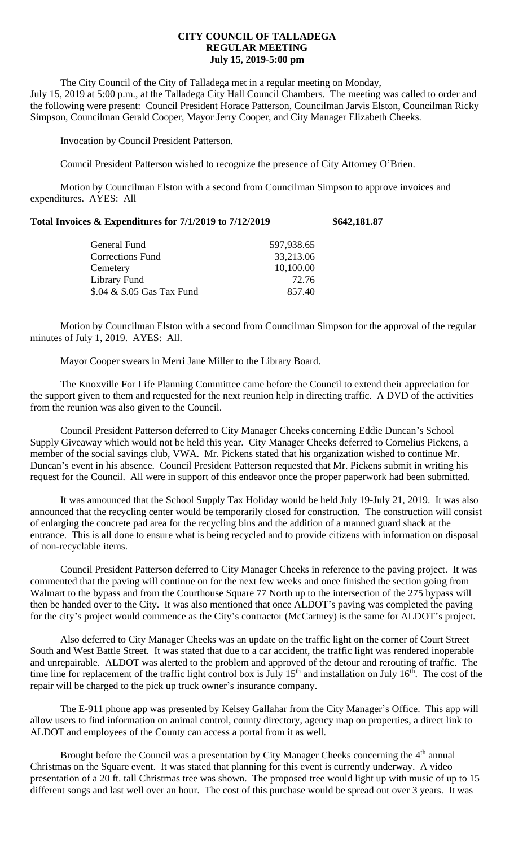## **CITY COUNCIL OF TALLADEGA REGULAR MEETING July 15, 2019-5:00 pm**

The City Council of the City of Talladega met in a regular meeting on Monday, July 15, 2019 at 5:00 p.m., at the Talladega City Hall Council Chambers. The meeting was called to order and the following were present: Council President Horace Patterson, Councilman Jarvis Elston, Councilman Ricky Simpson, Councilman Gerald Cooper, Mayor Jerry Cooper, and City Manager Elizabeth Cheeks.

Invocation by Council President Patterson.

Council President Patterson wished to recognize the presence of City Attorney O'Brien.

Motion by Councilman Elston with a second from Councilman Simpson to approve invoices and expenditures. AYES: All

| Total Invoices & Expenditures for 7/1/2019 to 7/12/2019 | \$642,181.87 |
|---------------------------------------------------------|--------------|
|---------------------------------------------------------|--------------|

| General Fund               | 597,938.65 |
|----------------------------|------------|
| <b>Corrections Fund</b>    | 33,213.06  |
| Cemetery                   | 10,100.00  |
| Library Fund               | 72.76      |
| \$.04 & \$.05 Gas Tax Fund | 857.40     |

Motion by Councilman Elston with a second from Councilman Simpson for the approval of the regular minutes of July 1, 2019. AYES: All.

Mayor Cooper swears in Merri Jane Miller to the Library Board.

The Knoxville For Life Planning Committee came before the Council to extend their appreciation for the support given to them and requested for the next reunion help in directing traffic. A DVD of the activities from the reunion was also given to the Council.

Council President Patterson deferred to City Manager Cheeks concerning Eddie Duncan's School Supply Giveaway which would not be held this year. City Manager Cheeks deferred to Cornelius Pickens, a member of the social savings club, VWA. Mr. Pickens stated that his organization wished to continue Mr. Duncan's event in his absence. Council President Patterson requested that Mr. Pickens submit in writing his request for the Council. All were in support of this endeavor once the proper paperwork had been submitted.

It was announced that the School Supply Tax Holiday would be held July 19-July 21, 2019. It was also announced that the recycling center would be temporarily closed for construction. The construction will consist of enlarging the concrete pad area for the recycling bins and the addition of a manned guard shack at the entrance. This is all done to ensure what is being recycled and to provide citizens with information on disposal of non-recyclable items.

Council President Patterson deferred to City Manager Cheeks in reference to the paving project. It was commented that the paving will continue on for the next few weeks and once finished the section going from Walmart to the bypass and from the Courthouse Square 77 North up to the intersection of the 275 bypass will then be handed over to the City. It was also mentioned that once ALDOT's paving was completed the paving for the city's project would commence as the City's contractor (McCartney) is the same for ALDOT's project.

Also deferred to City Manager Cheeks was an update on the traffic light on the corner of Court Street South and West Battle Street. It was stated that due to a car accident, the traffic light was rendered inoperable and unrepairable. ALDOT was alerted to the problem and approved of the detour and rerouting of traffic. The time line for replacement of the traffic light control box is July  $15<sup>th</sup>$  and installation on July  $16<sup>th</sup>$ . The cost of the repair will be charged to the pick up truck owner's insurance company.

The E-911 phone app was presented by Kelsey Gallahar from the City Manager's Office. This app will allow users to find information on animal control, county directory, agency map on properties, a direct link to ALDOT and employees of the County can access a portal from it as well.

Brought before the Council was a presentation by City Manager Cheeks concerning the 4<sup>th</sup> annual Christmas on the Square event. It was stated that planning for this event is currently underway. A video presentation of a 20 ft. tall Christmas tree was shown. The proposed tree would light up with music of up to 15 different songs and last well over an hour. The cost of this purchase would be spread out over 3 years. It was